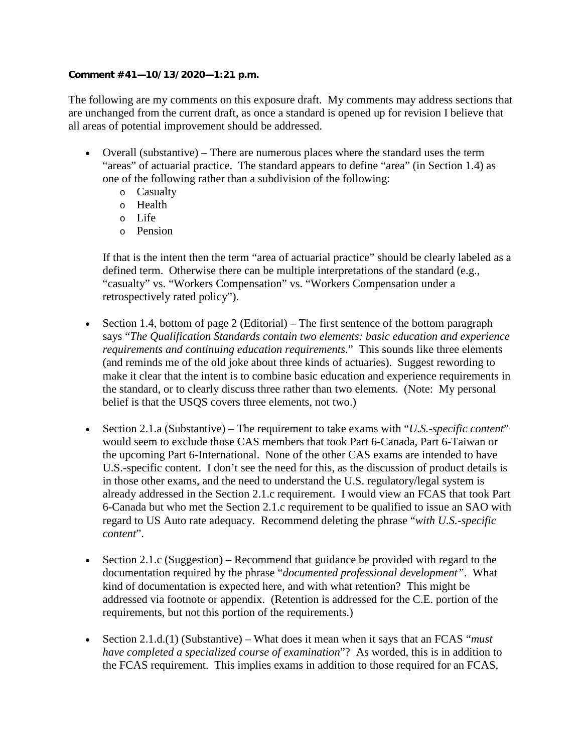## **Comment #41—10/13/2020—1:21 p.m.**

The following are my comments on this exposure draft. My comments may address sections that are unchanged from the current draft, as once a standard is opened up for revision I believe that all areas of potential improvement should be addressed.

- Overall (substantive) There are numerous places where the standard uses the term "areas" of actuarial practice. The standard appears to define "area" (in Section 1.4) as one of the following rather than a subdivision of the following:
	- o Casualty
	- o Health
	- o Life
	- o Pension

If that is the intent then the term "area of actuarial practice" should be clearly labeled as a defined term. Otherwise there can be multiple interpretations of the standard (e.g., "casualty" vs. "Workers Compensation" vs. "Workers Compensation under a retrospectively rated policy").

- Section 1.4, bottom of page 2 (Editorial) The first sentence of the bottom paragraph says "*The Qualification Standards contain two elements: basic education and experience requirements and continuing education requirements*." This sounds like three elements (and reminds me of the old joke about three kinds of actuaries). Suggest rewording to make it clear that the intent is to combine basic education and experience requirements in the standard, or to clearly discuss three rather than two elements. (Note: My personal belief is that the USQS covers three elements, not two.)
- Section 2.1.a (Substantive) The requirement to take exams with "*U.S.-specific content*" would seem to exclude those CAS members that took Part 6-Canada, Part 6-Taiwan or the upcoming Part 6-International. None of the other CAS exams are intended to have U.S.-specific content. I don't see the need for this, as the discussion of product details is in those other exams, and the need to understand the U.S. regulatory/legal system is already addressed in the Section 2.1.c requirement. I would view an FCAS that took Part 6-Canada but who met the Section 2.1.c requirement to be qualified to issue an SAO with regard to US Auto rate adequacy. Recommend deleting the phrase "*with U.S.-specific content*".
- Section 2.1.c (Suggestion) Recommend that guidance be provided with regard to the documentation required by the phrase "*documented professional development"*. What kind of documentation is expected here, and with what retention? This might be addressed via footnote or appendix. (Retention is addressed for the C.E. portion of the requirements, but not this portion of the requirements.)
- Section 2.1.d.(1) (Substantive) What does it mean when it says that an FCAS "*must have completed a specialized course of examination*"? As worded, this is in addition to the FCAS requirement. This implies exams in addition to those required for an FCAS,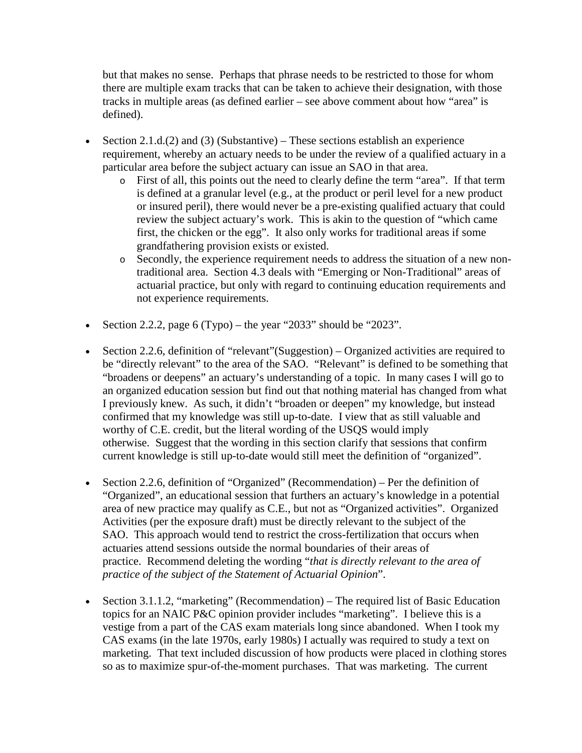but that makes no sense. Perhaps that phrase needs to be restricted to those for whom there are multiple exam tracks that can be taken to achieve their designation, with those tracks in multiple areas (as defined earlier – see above comment about how "area" is defined).

- Section 2.1.d.(2) and (3) (Substantive) These sections establish an experience requirement, whereby an actuary needs to be under the review of a qualified actuary in a particular area before the subject actuary can issue an SAO in that area.
	- o First of all, this points out the need to clearly define the term "area". If that term is defined at a granular level (e.g., at the product or peril level for a new product or insured peril), there would never be a pre-existing qualified actuary that could review the subject actuary's work. This is akin to the question of "which came first, the chicken or the egg". It also only works for traditional areas if some grandfathering provision exists or existed.
	- o Secondly, the experience requirement needs to address the situation of a new nontraditional area. Section 4.3 deals with "Emerging or Non-Traditional" areas of actuarial practice, but only with regard to continuing education requirements and not experience requirements.
- Section 2.2.2, page  $6$  (Typo) the year "2033" should be "2023".
- Section 2.2.6, definition of "relevant"(Suggestion) Organized activities are required to be "directly relevant" to the area of the SAO. "Relevant" is defined to be something that "broadens or deepens" an actuary's understanding of a topic. In many cases I will go to an organized education session but find out that nothing material has changed from what I previously knew. As such, it didn't "broaden or deepen" my knowledge, but instead confirmed that my knowledge was still up-to-date. I view that as still valuable and worthy of C.E. credit, but the literal wording of the USQS would imply otherwise. Suggest that the wording in this section clarify that sessions that confirm current knowledge is still up-to-date would still meet the definition of "organized".
- Section 2.2.6, definition of "Organized" (Recommendation) Per the definition of "Organized", an educational session that furthers an actuary's knowledge in a potential area of new practice may qualify as C.E., but not as "Organized activities". Organized Activities (per the exposure draft) must be directly relevant to the subject of the SAO. This approach would tend to restrict the cross-fertilization that occurs when actuaries attend sessions outside the normal boundaries of their areas of practice. Recommend deleting the wording "*that is directly relevant to the area of practice of the subject of the Statement of Actuarial Opinion*".
- Section 3.1.1.2, "marketing" (Recommendation) The required list of Basic Education topics for an NAIC P&C opinion provider includes "marketing". I believe this is a vestige from a part of the CAS exam materials long since abandoned. When I took my CAS exams (in the late 1970s, early 1980s) I actually was required to study a text on marketing. That text included discussion of how products were placed in clothing stores so as to maximize spur-of-the-moment purchases. That was marketing. The current